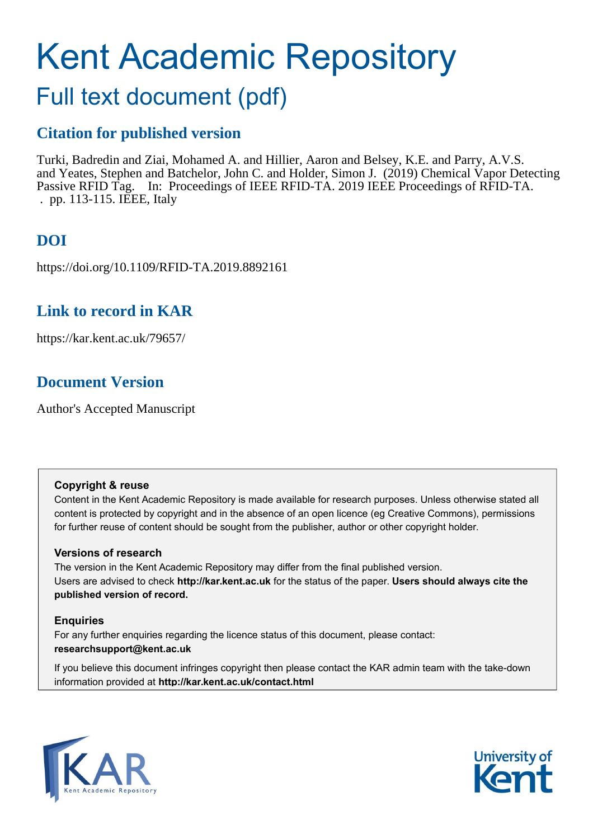# Kent Academic Repository

# Full text document (pdf)

### **Citation for published version**

Turki, Badredin and Ziai, Mohamed A. and Hillier, Aaron and Belsey, K.E. and Parry, A.V.S. and Yeates, Stephen and Batchelor, John C. and Holder, Simon J. (2019) Chemical Vapor Detecting Passive RFID Tag. In: Proceedings of IEEE RFID-TA. 2019 IEEE Proceedings of RFID-TA. . pp. 113-115. IEEE, Italy

# **DOI**

https://doi.org/10.1109/RFID-TA.2019.8892161

### **Link to record in KAR**

https://kar.kent.ac.uk/79657/

## **Document Version**

Author's Accepted Manuscript

### **Copyright & reuse**

Content in the Kent Academic Repository is made available for research purposes. Unless otherwise stated all content is protected by copyright and in the absence of an open licence (eg Creative Commons), permissions for further reuse of content should be sought from the publisher, author or other copyright holder.

### **Versions of research**

The version in the Kent Academic Repository may differ from the final published version. Users are advised to check **http://kar.kent.ac.uk** for the status of the paper. **Users should always cite the published version of record.**

### **Enquiries**

For any further enquiries regarding the licence status of this document, please contact: **researchsupport@kent.ac.uk**

If you believe this document infringes copyright then please contact the KAR admin team with the take-down information provided at **http://kar.kent.ac.uk/contact.html**



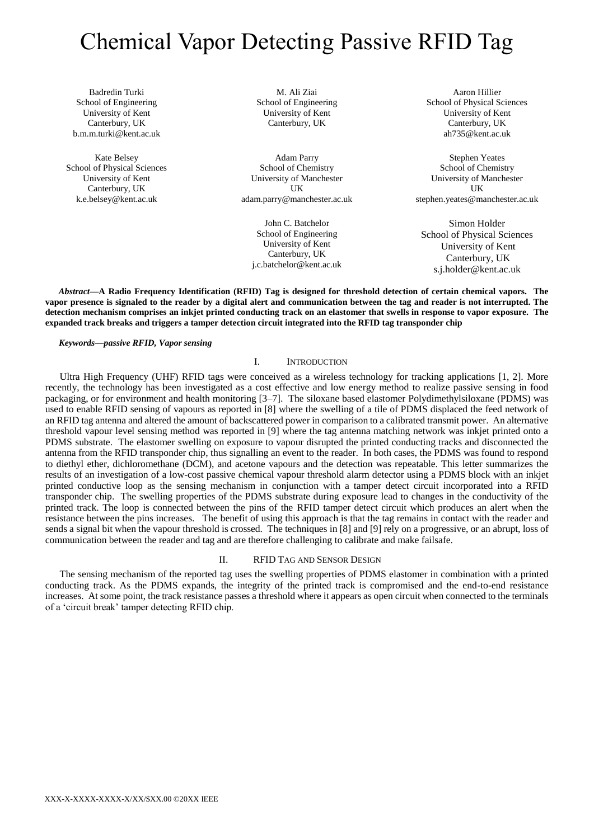# Chemical Vapor Detecting Passive RFID Tag

Badredin Turki School of Engineering University of Kent Canterbury, UK b.m.m.turki@kent.ac.uk

Kate Belsey School of Physical Sciences University of Kent Canterbury, UK k.e.belsey@kent.ac.uk

M. Ali Ziai School of Engineering University of Kent Canterbury, UK

Adam Parry School of Chemistry University of Manchester UK adam.parry@manchester.ac.uk

John C. Batchelor School of Engineering University of Kent Canterbury, UK j.c.batchelor@kent.ac.uk

Aaron Hillier School of Physical Sciences University of Kent Canterbury, UK ah735@kent.ac.uk

Stephen Yeates School of Chemistry University of Manchester UK stephen.yeates@manchester.ac.uk

Simon Holder School of Physical Sciences University of Kent Canterbury, UK s.j.holder@kent.ac.uk

*Abstract***—A Radio Frequency Identification (RFID) Tag is designed for threshold detection of certain chemical vapors. The vapor presence is signaled to the reader by a digital alert and communication between the tag and reader is not interrupted. The detection mechanism comprises an inkjet printed conducting track on an elastomer that swells in response to vapor exposure. The expanded track breaks and triggers a tamper detection circuit integrated into the RFID tag transponder chip**

### *Keywords—passive RFID, Vapor sensing*

### I. INTRODUCTION

Ultra High Frequency (UHF) RFID tags were conceived as a wireless technology for tracking applications [1, 2]. More recently, the technology has been investigated as a cost effective and low energy method to realize passive sensing in food packaging, or for environment and health monitoring [3–7]. The siloxane based elastomer Polydimethylsiloxane (PDMS) was used to enable RFID sensing of vapours as reported in [8] where the swelling of a tile of PDMS displaced the feed network of an RFID tag antenna and altered the amount of backscattered power in comparison to a calibrated transmit power. An alternative threshold vapour level sensing method was reported in [9] where the tag antenna matching network was inkjet printed onto a PDMS substrate. The elastomer swelling on exposure to vapour disrupted the printed conducting tracks and disconnected the antenna from the RFID transponder chip, thus signalling an event to the reader. In both cases, the PDMS was found to respond to diethyl ether, dichloromethane (DCM), and acetone vapours and the detection was repeatable. This letter summarizes the results of an investigation of a low-cost passive chemical vapour threshold alarm detector using a PDMS block with an inkjet printed conductive loop as the sensing mechanism in conjunction with a tamper detect circuit incorporated into a RFID transponder chip. The swelling properties of the PDMS substrate during exposure lead to changes in the conductivity of the printed track. The loop is connected between the pins of the RFID tamper detect circuit which produces an alert when the resistance between the pins increases. The benefit of using this approach is that the tag remains in contact with the reader and sends a signal bit when the vapour threshold is crossed. The techniques in [8] and [9] rely on a progressive, or an abrupt, loss of communication between the reader and tag and are therefore challenging to calibrate and make failsafe.

### II. RFID TAG AND SENSOR DESIGN

The sensing mechanism of the reported tag uses the swelling properties of PDMS elastomer in combination with a printed conducting track. As the PDMS expands, the integrity of the printed track is compromised and the end-to-end resistance increases. At some point, the track resistance passes a threshold where it appears as open circuit when connected to the terminals of a 'circuit break' tamper detecting RFID chip.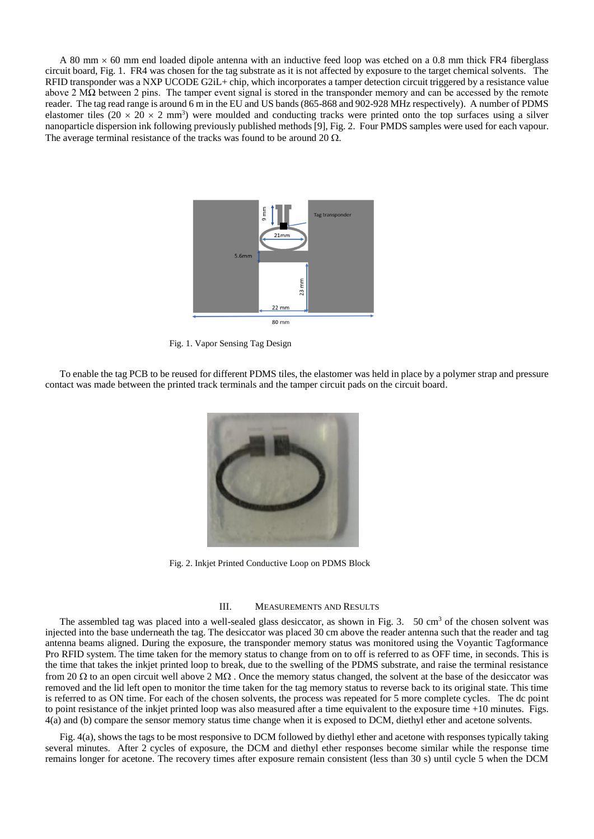A 80 mm  $\times$  60 mm end loaded dipole antenna with an inductive feed loop was etched on a 0.8 mm thick FR4 fiberglass circuit board, Fig. 1. FR4 was chosen for the tag substrate as it is not affected by exposure to the target chemical solvents. The RFID transponder was a NXP UCODE G2iL+ chip, which incorporates a tamper detection circuit triggered by a resistance value above 2 MΩ between 2 pins. The tamper event signal is stored in the transponder memory and can be accessed by the remote reader. The tag read range is around 6 m in the EU and US bands (865-868 and 902-928 MHz respectively). A number of PDMS elastomer tiles (20  $\times$  20  $\times$  2 mm<sup>3</sup>) were moulded and conducting tracks were printed onto the top surfaces using a silver nanoparticle dispersion ink following previously published methods [9], Fig. 2. Four PMDS samples were used for each vapour. The average terminal resistance of the tracks was found to be around 20  $\Omega$ .



Fig. 1. Vapor Sensing Tag Design

To enable the tag PCB to be reused for different PDMS tiles, the elastomer was held in place by a polymer strap and pressure contact was made between the printed track terminals and the tamper circuit pads on the circuit board.



Fig. 2. Inkjet Printed Conductive Loop on PDMS Block

### III. MEASUREMENTS AND RESULTS

The assembled tag was placed into a well-sealed glass desiccator, as shown in Fig. 3. 50 cm<sup>3</sup> of the chosen solvent was injected into the base underneath the tag. The desiccator was placed 30 cm above the reader antenna such that the reader and tag antenna beams aligned. During the exposure, the transponder memory status was monitored using the Voyantic Tagformance Pro RFID system. The time taken for the memory status to change from on to off is referred to as OFF time, in seconds. This is the time that takes the inkjet printed loop to break, due to the swelling of the PDMS substrate, and raise the terminal resistance from 20  $\Omega$  to an open circuit well above 2 M $\Omega$ . Once the memory status changed, the solvent at the base of the desiccator was removed and the lid left open to monitor the time taken for the tag memory status to reverse back to its original state. This time is referred to as ON time. For each of the chosen solvents, the process was repeated for 5 more complete cycles. The dc point to point resistance of the inkjet printed loop was also measured after a time equivalent to the exposure time +10 minutes. Figs. 4(a) and (b) compare the sensor memory status time change when it is exposed to DCM, diethyl ether and acetone solvents.

Fig. 4(a), shows the tags to be most responsive to DCM followed by diethyl ether and acetone with responses typically taking several minutes. After 2 cycles of exposure, the DCM and diethyl ether responses become similar while the response time remains longer for acetone. The recovery times after exposure remain consistent (less than 30 s) until cycle 5 when the DCM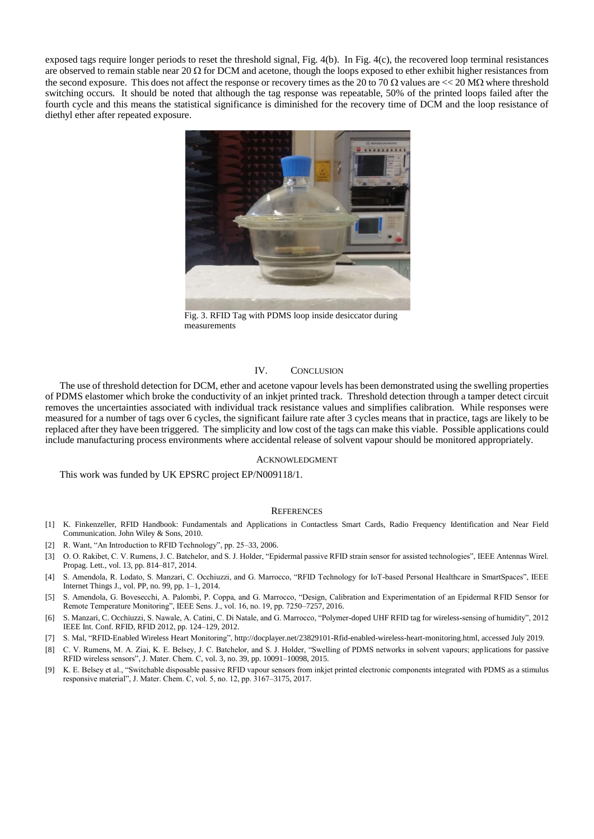exposed tags require longer periods to reset the threshold signal, Fig. 4(b). In Fig. 4(c), the recovered loop terminal resistances are observed to remain stable near 20  $\Omega$  for DCM and acetone, though the loops exposed to ether exhibit higher resistances from the second exposure. This does not affect the response or recovery times as the 20 to 70  $\Omega$  values are  $<< 20$  M $\Omega$  where threshold switching occurs. It should be noted that although the tag response was repeatable, 50% of the printed loops failed after the fourth cycle and this means the statistical significance is diminished for the recovery time of DCM and the loop resistance of diethyl ether after repeated exposure.



Fig. 3. RFID Tag with PDMS loop inside desiccator during measurements

### IV. CONCLUSION

The use of threshold detection for DCM, ether and acetone vapour levels has been demonstrated using the swelling properties of PDMS elastomer which broke the conductivity of an inkjet printed track. Threshold detection through a tamper detect circuit removes the uncertainties associated with individual track resistance values and simplifies calibration. While responses were measured for a number of tags over 6 cycles, the significant failure rate after 3 cycles means that in practice, tags are likely to be replaced after they have been triggered. The simplicity and low cost of the tags can make this viable. Possible applications could include manufacturing process environments where accidental release of solvent vapour should be monitored appropriately.

#### ACKNOWLEDGMENT

This work was funded by UK EPSRC project EP/N009118/1.

#### **REFERENCES**

- [1] K. Finkenzeller, RFID Handbook: Fundamentals and Applications in Contactless Smart Cards, Radio Frequency Identification and Near Field Communication. John Wiley & Sons, 2010.
- [2] R. Want, "An Introduction to RFID Technology", pp. 25–33, 2006.
- [3] O. O. Rakibet, C. V. Rumens, J. C. Batchelor, and S. J. Holder, "Epidermal passive RFID strain sensor for assisted technologies", IEEE Antennas Wirel. Propag. Lett., vol. 13, pp. 814–817, 2014.
- [4] S. Amendola, R. Lodato, S. Manzari, C. Occhiuzzi, and G. Marrocco, "RFID Technology for IoT-based Personal Healthcare in SmartSpaces", IEEE Internet Things J., vol. PP, no. 99, pp. 1–1, 2014.
- [5] S. Amendola, G. Bovesecchi, A. Palombi, P. Coppa, and G. Marrocco, "Design, Calibration and Experimentation of an Epidermal RFID Sensor for Remote Temperature Monitoring", IEEE Sens. J., vol. 16, no. 19, pp. 7250–7257, 2016.
- [6] S. Manzari, C. Occhiuzzi, S. Nawale, A. Catini, C. Di Natale, and G. Marrocco, "Polymer-doped UHF RFID tag for wireless-sensing of humidity", 2012 IEEE Int. Conf. RFID, RFID 2012, pp. 124–129, 2012.
- [7] S. Mal, "RFID-Enabled Wireless Heart Monitoring", http://docplayer.net/23829101-Rfid-enabled-wireless-heart-monitoring.html, accessed July 2019.
- [8] C. V. Rumens, M. A. Ziai, K. E. Belsey, J. C. Batchelor, and S. J. Holder, "Swelling of PDMS networks in solvent vapours; applications for passive RFID wireless sensors", J. Mater. Chem. C, vol. 3, no. 39, pp. 10091–10098, 2015.
- [9] K. E. Belsey et al., "Switchable disposable passive RFID vapour sensors from inkjet printed electronic components integrated with PDMS as a stimulus responsive material", J. Mater. Chem. C, vol. 5, no. 12, pp. 3167–3175, 2017.